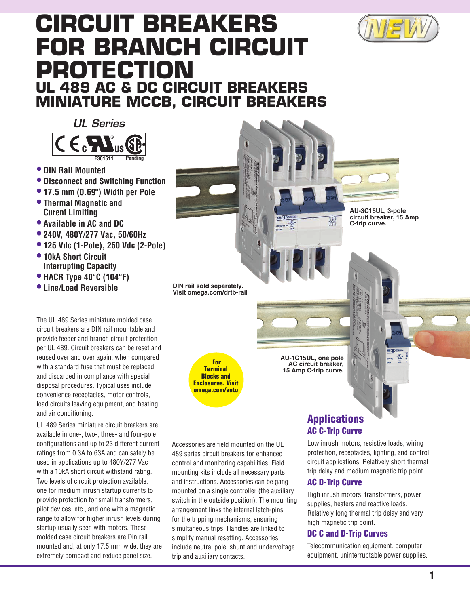

# **Circuit Breakers for Branch Circuit Protection UL 489 AC & DC Circuit Breakers Miniature MCCB, Circuit Breakers**

*UL Series*



- **• DIN Rail Mounted**
- **• Disconnect and Switching Function**
- **• 17.5 mm (0.69") Width per Pole**
- **• Thermal Magnetic and Curent Limiting**
- **• Available in AC and DC**
- **• 240V, 480Y/277 Vac, 50/60Hz**
- **• 125 Vdc (1-Pole), 250 Vdc (2-Pole)**
- **• 10kA Short Circuit Interrupting Capacity**
- **• HACR Type 40°C (104°F)**
- **• Line/Load Reversible**

The UL 489 Series miniature molded case circuit breakers are DIN rail mountable and provide feeder and branch circuit protection per UL 489. Circuit breakers can be reset and reused over and over again, when compared with a standard fuse that must be replaced and discarded in compliance with special disposal procedures. Typical uses include convenience receptacles, motor controls, load circuits leaving equipment, and heating and air conditioning.

UL 489 Series miniature circuit breakers are available in one-, two-, three- and four-pole configurations and up to 23 different current ratings from 0.3A to 63A and can safely be used in applications up to 480Y/277 Vac with a 10kA short circuit withstand rating. Two levels of circuit protection available, one for medium inrush startup currents to provide protection for small transformers, pilot devices, etc., and one with a magnetic range to allow for higher inrush levels during startup usually seen with motors. These molded case circuit breakers are Din rail mounted and, at only 17.5 mm wide, they are extremely compact and reduce panel size.

**DIN rail sold separately. Visit omega.com/drtb-rail**

> **For Terminal Blocks and Enclosures. Visit omega.com/auto**

Accessories are field mounted on the UL 489 series circuit breakers for enhanced control and monitoring capabilities. Field mounting kits include all necessary parts and instructions. Accessories can be gang mounted on a single controller (the auxiliary switch in the outside position). The mounting arrangement links the internal latch-pins for the tripping mechanisms, ensuring simultaneous trips. Handles are linked to simplify manual resetting. Accessories include neutral pole, shunt and undervoltage trip and auxiliary contacts.

**AU-3C15UL, 3‑pole circuit breaker, 15 Amp** 

**C‑trip curve.**

醪

**AU‑1C15UL, one pole AC circuit breaker, 15 Amp C‑trip curve.**

## Applications AC C-Trip Curve

Low inrush motors, resistive loads, wiring protection, receptacles, lighting, and control circuit applications. Relatively short thermal trip delay and medium magnetic trip point.

### AC D-Trip Curve

High inrush motors, transformers, power supplies, heaters and reactive loads. Relatively long thermal trip delay and very high magnetic trip point.

#### DC C and D-Trip Curves

Telecommunication equipment, computer equipment, uninterruptable power supplies.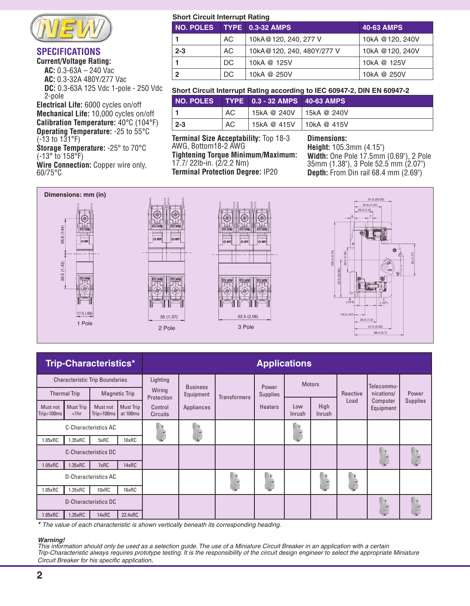

### **Specifications**

**Current/Voltage Rating: AC:** 0.3-63A – 240 Vac

**AC:** 0.3-32A 480Y/277 Vac

 **DC:** 0.3-63A 125 Vdc 1-pole - 250 Vdc 2-pole

**Electrical Life:** 6000 cycles on/off **Mechanical Life:** 10,000 cycles on/off **Calibration Temperature:** 40°C (104°F) **Operating Temperature:** -25 to 55°C (-13 to 131°F)

**Storage Temperature:** -25° to 70°C (-13° to 158°F)

**Wire Connection:** Copper wire only, 60/75°C

#### **Short Circuit Interrupt Rating**

|              |     | NO. POLES TYPE 0.3-32 AMPS | <b>40-63 AMPS</b> |  |  |  |  |
|--------------|-----|----------------------------|-------------------|--|--|--|--|
| $\mathbf 1$  | AC  | 10kA@120, 240, 277 V       | 10kA @120, 240V   |  |  |  |  |
| $2 - 3$      | AC. | 10kA@120, 240, 480Y/277 V  | 10kA @120, 240V   |  |  |  |  |
| 1.           | DC. | 10kA @ 125V                | 10kA @ 125V       |  |  |  |  |
| $\mathbf{2}$ | DC. | 10kA @ 250V                | 10kA @ 250V       |  |  |  |  |

#### **Short Circuit Interrupt Rating according to IEC 60947-2, DIN EN 60947-2**

|        |     | NO. POLES TYPE 0.3 - 32 AMPS 40-63 AMPS |  |
|--------|-----|-----------------------------------------|--|
|        | AC. | 15kA @ 240V 15kA @ 240V                 |  |
| $ 2-3$ | AC. | 15kA @ 415V 10kA @ 415V                 |  |

**Terminal Size Acceptability:** Top 18-3 AWG, Bottom18-2 AWG **Tightening Torque Minimum/Maximum:**

17.7/ 22lb-in. (2/2.2 Nm) **Terminal Protection Degree:** IP20

### **Dimensions:**

**Height:** 105.3mm (4.15") **Width:** One Pole 17.5mm (0.69"), 2 Pole 35mm (1.38"), 3 Pole 52.5 mm (2.07") **Depth:** From Din rail 68.4 mm (2.69")



| <b>Trip-Characteristics*</b>                |                                |                                  | <b>Applications</b>   |                                                           |                          |                                                           |                |               |                                                                  |       |                       |                 |
|---------------------------------------------|--------------------------------|----------------------------------|-----------------------|-----------------------------------------------------------|--------------------------|-----------------------------------------------------------|----------------|---------------|------------------------------------------------------------------|-------|-----------------------|-----------------|
| <b>Characteristic Trip Boundaries</b>       |                                | Lighting<br>Wiring<br>Protection |                       | <b>Business</b><br><b>Transformers</b>                    | Power<br><b>Supplies</b> | <b>Motors</b>                                             |                |               |                                                                  |       |                       |                 |
| <b>Magnetic Trip</b><br><b>Thermal Trip</b> |                                |                                  | Equipment             |                                                           |                          |                                                           |                | Reactive      | Telecommu-<br>nications/                                         | Power |                       |                 |
| Must not<br>Trip>100ms                      | <b>Must Trip</b><br>$<$ 1 $hr$ | Must not<br>Trip>100ms           | Must Trip<br>at 100ms | Control<br><b>Circuits</b>                                | Appliances               |                                                           | <b>Heaters</b> | Low<br>Inrush | High<br>Inrush                                                   | Load  | Computer<br>Equipment | <b>Supplies</b> |
| <b>C-Characteristics AC</b>                 |                                |                                  |                       |                                                           |                          | $\frac{1}{\ x\ _2\ x\ _2}$                                |                |               |                                                                  |       |                       |                 |
| 1.05xRC                                     | 1.35xRC                        | 5xRC                             | 10xRC                 |                                                           |                          |                                                           |                |               |                                                                  |       |                       |                 |
| <b>C-Characteristics DC</b>                 |                                |                                  |                       |                                                           |                          |                                                           |                |               | $\frac{1}{\sqrt{2}}\left(\frac{1}{2}\sqrt{1+\frac{1}{2}}\right)$ |       |                       |                 |
| 1.05xRC                                     | 1.35xRC                        | 7xRC                             | 14xRC                 |                                                           |                          |                                                           |                |               |                                                                  |       |                       |                 |
| D-Characteristics AC                        |                                |                                  |                       | $\frac{1}{\sqrt{2}}\left(\frac{1}{\sqrt{2}}\right)^{1/2}$ | (www.                    | $\frac{1}{\sqrt{2}}\left(\frac{1}{\sqrt{2}}\right)^{1/2}$ |                |               |                                                                  |       |                       |                 |
| 1.05xRC                                     | $1.35\times RC$                | 10xRC                            | 16xRC                 |                                                           |                          |                                                           |                |               | E                                                                |       |                       |                 |
| <b>D-Characteristics DC</b>                 |                                |                                  |                       |                                                           |                          |                                                           |                |               | J<br>$\left(\frac{1}{\ln\left(1\right)}\right)$                  |       |                       |                 |
| 1.05xRC                                     | 1.35xRC                        | 14xRC                            | 22.4xRC               |                                                           |                          |                                                           |                |               |                                                                  |       |                       |                 |

*\* The value of each characteristic is shown vertically beneath its corresponding heading.*

#### *Warning!*

*This information should only be used as a selection guide. The use of a Miniature Circuit Breaker in an application with a certain Trip-Characteristic always requires prototype testing. It is the responsibility of the circuit design engineer to select the appropriate Miniature Circuit Breaker for his specific application*.